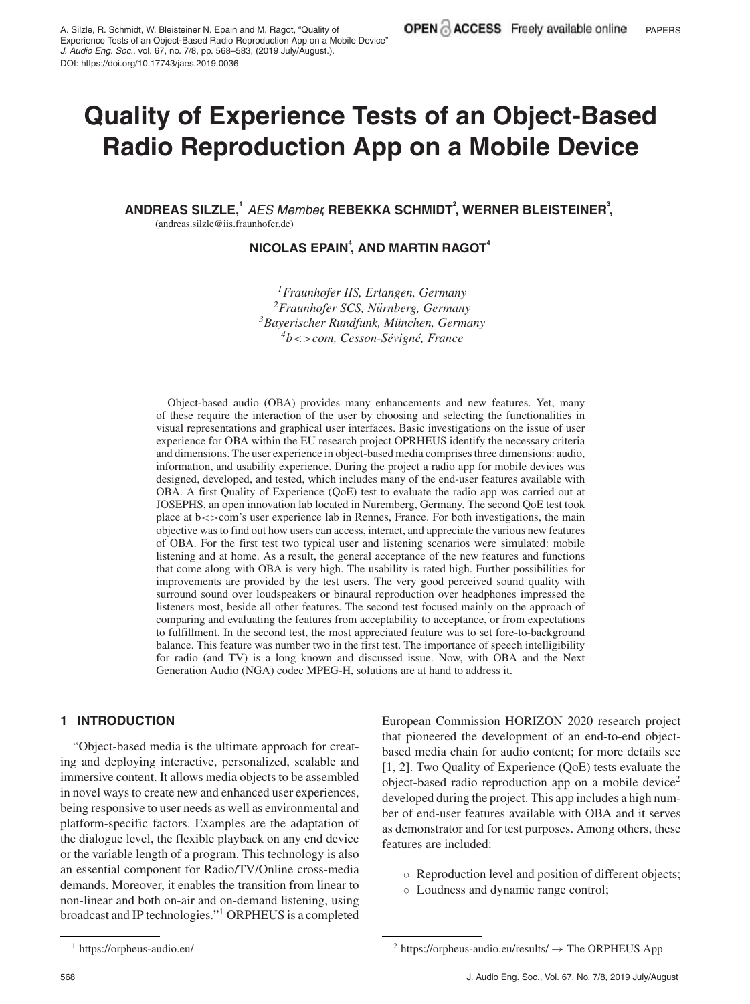# **Quality of Experience Tests of an Object-Based Radio Reproduction App on a Mobile Device**

ANDREAS SILZLE,<sup>1</sup> AES Member, REBEKKA SCHMIDT<sup>2</sup>, WERNER BLEISTEINER<sup>3</sup>, (andreas.silzle@iis.fraunhofer.de)

<code>NICOLAS EPAIN $^4$ , AND MARTIN RAGOT $^4$ </code>

*1Fraunhofer IIS, Erlangen, Germany 2Fraunhofer SCS, Nurnberg, Germany ¨ 3Bayerischer Rundfunk, Munchen, Germany ¨ 4b*<>*com, Cesson-Sevign ´ e, France ´*

Object-based audio (OBA) provides many enhancements and new features. Yet, many of these require the interaction of the user by choosing and selecting the functionalities in visual representations and graphical user interfaces. Basic investigations on the issue of user experience for OBA within the EU research project OPRHEUS identify the necessary criteria and dimensions. The user experience in object-based media comprises three dimensions: audio, information, and usability experience. During the project a radio app for mobile devices was designed, developed, and tested, which includes many of the end-user features available with OBA. A first Quality of Experience (QoE) test to evaluate the radio app was carried out at JOSEPHS, an open innovation lab located in Nuremberg, Germany. The second QoE test took place at b<>com's user experience lab in Rennes, France. For both investigations, the main objective was to find out how users can access, interact, and appreciate the various new features of OBA. For the first test two typical user and listening scenarios were simulated: mobile listening and at home. As a result, the general acceptance of the new features and functions that come along with OBA is very high. The usability is rated high. Further possibilities for improvements are provided by the test users. The very good perceived sound quality with surround sound over loudspeakers or binaural reproduction over headphones impressed the listeners most, beside all other features. The second test focused mainly on the approach of comparing and evaluating the features from acceptability to acceptance, or from expectations to fulfillment. In the second test, the most appreciated feature was to set fore-to-background balance. This feature was number two in the first test. The importance of speech intelligibility for radio (and TV) is a long known and discussed issue. Now, with OBA and the Next Generation Audio (NGA) codec MPEG-H, solutions are at hand to address it.

## **1 INTRODUCTION**

"Object-based media is the ultimate approach for creating and deploying interactive, personalized, scalable and immersive content. It allows media objects to be assembled in novel ways to create new and enhanced user experiences, being responsive to user needs as well as environmental and platform-specific factors. Examples are the adaptation of the dialogue level, the flexible playback on any end device or the variable length of a program. This technology is also an essential component for Radio/TV/Online cross-media demands. Moreover, it enables the transition from linear to non-linear and both on-air and on-demand listening, using broadcast and IP technologies."1 ORPHEUS is a completed

European Commission HORIZON 2020 research project that pioneered the development of an end-to-end objectbased media chain for audio content; for more details see [1, 2]. Two Quality of Experience (QoE) tests evaluate the object-based radio reproduction app on a mobile device<sup>2</sup> developed during the project. This app includes a high number of end-user features available with OBA and it serves as demonstrator and for test purposes. Among others, these features are included:

- Reproduction level and position of different objects;
- Loudness and dynamic range control;

<sup>1</sup> https://orpheus-audio.eu/

 $2$  https://orpheus-audio.eu/results/  $\rightarrow$  The ORPHEUS App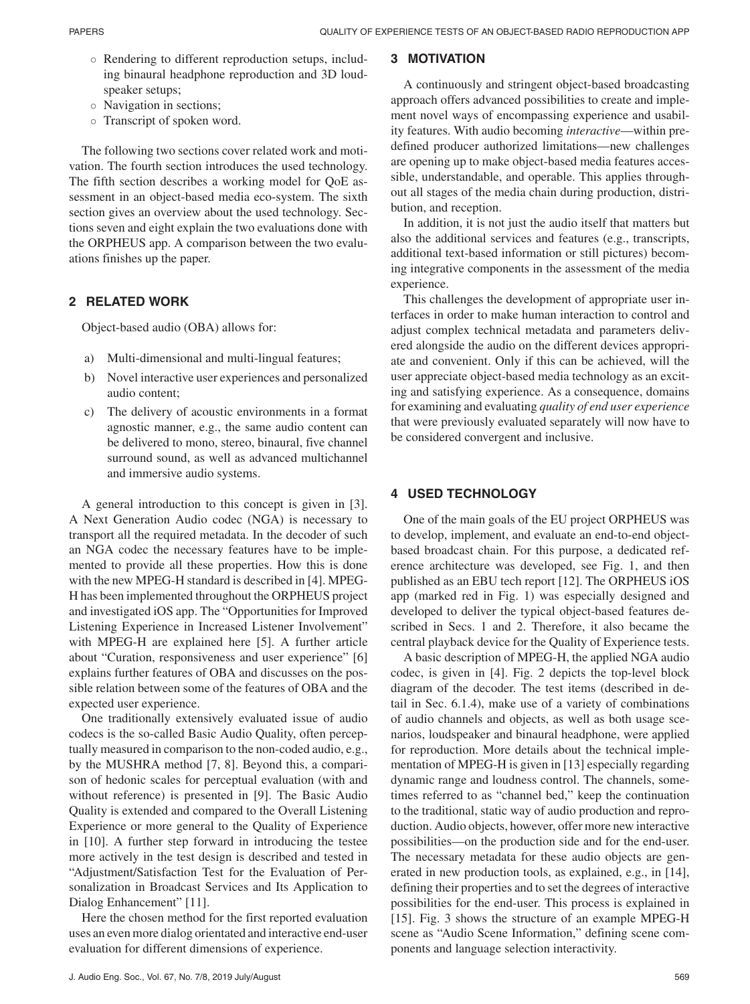- Rendering to different reproduction setups, including binaural headphone reproduction and 3D loudspeaker setups;
- Navigation in sections;
- Transcript of spoken word.

The following two sections cover related work and motivation. The fourth section introduces the used technology. The fifth section describes a working model for QoE assessment in an object-based media eco-system. The sixth section gives an overview about the used technology. Sections seven and eight explain the two evaluations done with the ORPHEUS app. A comparison between the two evaluations finishes up the paper.

# **2 RELATED WORK**

Object-based audio (OBA) allows for:

- a) Multi-dimensional and multi-lingual features;
- b) Novel interactive user experiences and personalized audio content;
- c) The delivery of acoustic environments in a format agnostic manner, e.g., the same audio content can be delivered to mono, stereo, binaural, five channel surround sound, as well as advanced multichannel and immersive audio systems.

A general introduction to this concept is given in [3]. A Next Generation Audio codec (NGA) is necessary to transport all the required metadata. In the decoder of such an NGA codec the necessary features have to be implemented to provide all these properties. How this is done with the new MPEG-H standard is described in [4]. MPEG-H has been implemented throughout the ORPHEUS project and investigated iOS app. The "Opportunities for Improved Listening Experience in Increased Listener Involvement" with MPEG-H are explained here [5]. A further article about "Curation, responsiveness and user experience" [6] explains further features of OBA and discusses on the possible relation between some of the features of OBA and the expected user experience.

One traditionally extensively evaluated issue of audio codecs is the so-called Basic Audio Quality, often perceptually measured in comparison to the non-coded audio, e.g., by the MUSHRA method [7, 8]. Beyond this, a comparison of hedonic scales for perceptual evaluation (with and without reference) is presented in [9]. The Basic Audio Quality is extended and compared to the Overall Listening Experience or more general to the Quality of Experience in [10]. A further step forward in introducing the testee more actively in the test design is described and tested in "Adjustment/Satisfaction Test for the Evaluation of Personalization in Broadcast Services and Its Application to Dialog Enhancement" [11].

Here the chosen method for the first reported evaluation uses an even more dialog orientated and interactive end-user evaluation for different dimensions of experience.

## **3 MOTIVATION**

A continuously and stringent object-based broadcasting approach offers advanced possibilities to create and implement novel ways of encompassing experience and usability features. With audio becoming *interactive*—within predefined producer authorized limitations—new challenges are opening up to make object-based media features accessible, understandable, and operable. This applies throughout all stages of the media chain during production, distribution, and reception.

In addition, it is not just the audio itself that matters but also the additional services and features (e.g., transcripts, additional text-based information or still pictures) becoming integrative components in the assessment of the media experience.

This challenges the development of appropriate user interfaces in order to make human interaction to control and adjust complex technical metadata and parameters delivered alongside the audio on the different devices appropriate and convenient. Only if this can be achieved, will the user appreciate object-based media technology as an exciting and satisfying experience. As a consequence, domains for examining and evaluating *quality of end user experience* that were previously evaluated separately will now have to be considered convergent and inclusive.

# **4 USED TECHNOLOGY**

One of the main goals of the EU project ORPHEUS was to develop, implement, and evaluate an end-to-end objectbased broadcast chain. For this purpose, a dedicated reference architecture was developed, see Fig. 1, and then published as an EBU tech report [12]. The ORPHEUS iOS app (marked red in Fig. 1) was especially designed and developed to deliver the typical object-based features described in Secs. 1 and 2. Therefore, it also became the central playback device for the Quality of Experience tests.

A basic description of MPEG-H, the applied NGA audio codec, is given in [4]. Fig. 2 depicts the top-level block diagram of the decoder. The test items (described in detail in Sec. 6.1.4), make use of a variety of combinations of audio channels and objects, as well as both usage scenarios, loudspeaker and binaural headphone, were applied for reproduction. More details about the technical implementation of MPEG-H is given in [13] especially regarding dynamic range and loudness control. The channels, sometimes referred to as "channel bed," keep the continuation to the traditional, static way of audio production and reproduction. Audio objects, however, offer more new interactive possibilities—on the production side and for the end-user. The necessary metadata for these audio objects are generated in new production tools, as explained, e.g., in [14], defining their properties and to set the degrees of interactive possibilities for the end-user. This process is explained in [15]. Fig. 3 shows the structure of an example MPEG-H scene as "Audio Scene Information," defining scene components and language selection interactivity.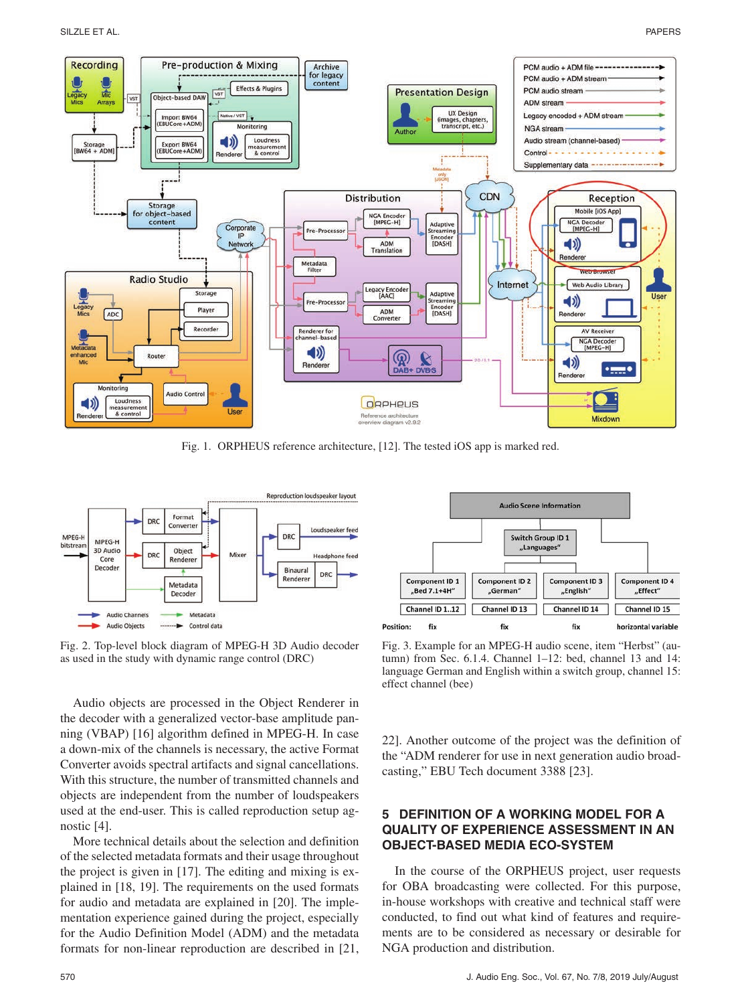

Fig. 1. ORPHEUS reference architecture, [12]. The tested iOS app is marked red.



Fig. 2. Top-level block diagram of MPEG-H 3D Audio decoder as used in the study with dynamic range control (DRC)

Audio objects are processed in the Object Renderer in the decoder with a generalized vector-base amplitude panning (VBAP) [16] algorithm defined in MPEG-H. In case a down-mix of the channels is necessary, the active Format Converter avoids spectral artifacts and signal cancellations. With this structure, the number of transmitted channels and objects are independent from the number of loudspeakers used at the end-user. This is called reproduction setup agnostic [4].

More technical details about the selection and definition of the selected metadata formats and their usage throughout the project is given in [17]. The editing and mixing is explained in [18, 19]. The requirements on the used formats for audio and metadata are explained in [20]. The implementation experience gained during the project, especially for the Audio Definition Model (ADM) and the metadata formats for non-linear reproduction are described in [21,



Fig. 3. Example for an MPEG-H audio scene, item "Herbst" (autumn) from Sec. 6.1.4. Channel 1–12: bed, channel 13 and 14: language German and English within a switch group, channel 15: effect channel (bee)

22]. Another outcome of the project was the definition of the "ADM renderer for use in next generation audio broadcasting," EBU Tech document 3388 [23].

## **5 DEFINITION OF A WORKING MODEL FOR A QUALITY OF EXPERIENCE ASSESSMENT IN AN OBJECT-BASED MEDIA ECO-SYSTEM**

In the course of the ORPHEUS project, user requests for OBA broadcasting were collected. For this purpose, in-house workshops with creative and technical staff were conducted, to find out what kind of features and requirements are to be considered as necessary or desirable for NGA production and distribution.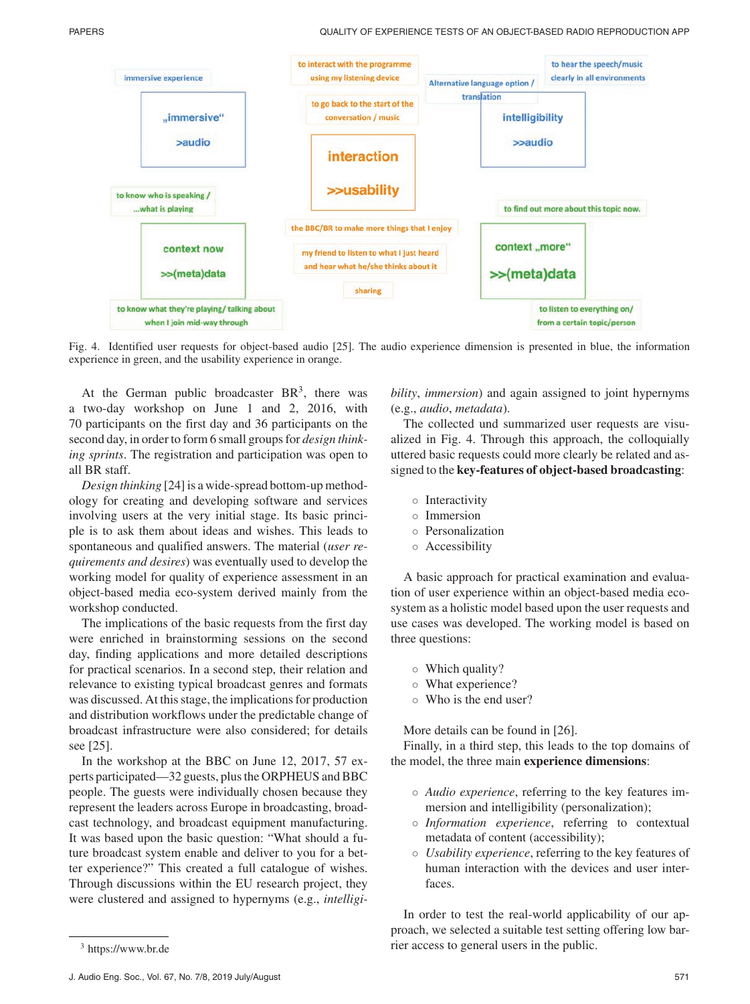

Fig. 4. Identified user requests for object-based audio [25]. The audio experience dimension is presented in blue, the information experience in green, and the usability experience in orange.

At the German public broadcaster  $BR<sup>3</sup>$ , there was a two-day workshop on June 1 and 2, 2016, with 70 participants on the first day and 36 participants on the second day, in order to form 6 small groups for *design thinking sprints*. The registration and participation was open to all BR staff.

*Design thinking* [24] is a wide-spread bottom-up methodology for creating and developing software and services involving users at the very initial stage. Its basic principle is to ask them about ideas and wishes. This leads to spontaneous and qualified answers. The material (*user requirements and desires*) was eventually used to develop the working model for quality of experience assessment in an object-based media eco-system derived mainly from the workshop conducted.

The implications of the basic requests from the first day were enriched in brainstorming sessions on the second day, finding applications and more detailed descriptions for practical scenarios. In a second step, their relation and relevance to existing typical broadcast genres and formats was discussed. At this stage, the implications for production and distribution workflows under the predictable change of broadcast infrastructure were also considered; for details see [25].

In the workshop at the BBC on June 12, 2017, 57 experts participated—32 guests, plus the ORPHEUS and BBC people. The guests were individually chosen because they represent the leaders across Europe in broadcasting, broadcast technology, and broadcast equipment manufacturing. It was based upon the basic question: "What should a future broadcast system enable and deliver to you for a better experience?" This created a full catalogue of wishes. Through discussions within the EU research project, they were clustered and assigned to hypernyms (e.g., *intelligi-* *bility*, *immersion*) and again assigned to joint hypernyms (e.g., *audio*, *metadata*).

The collected und summarized user requests are visualized in Fig. 4. Through this approach, the colloquially uttered basic requests could more clearly be related and assigned to the **key-features of object-based broadcasting**:

- Interactivity
- Immersion
- Personalization
- Accessibility

A basic approach for practical examination and evaluation of user experience within an object-based media ecosystem as a holistic model based upon the user requests and use cases was developed. The working model is based on three questions:

- Which quality?
- What experience?
- Who is the end user?

More details can be found in [26].

Finally, in a third step, this leads to the top domains of the model, the three main **experience dimensions**:

- *Audio experience*, referring to the key features immersion and intelligibility (personalization);
- *Information experience*, referring to contextual metadata of content (accessibility);
- *Usability experience*, referring to the key features of human interaction with the devices and user interfaces.

In order to test the real-world applicability of our approach, we selected a suitable test setting offering low barrier access to general users in the public.

<sup>3</sup> https://www.br.de

J. Audio Eng. Soc., Vol. 67, No. 7/8, 2019 July/August 571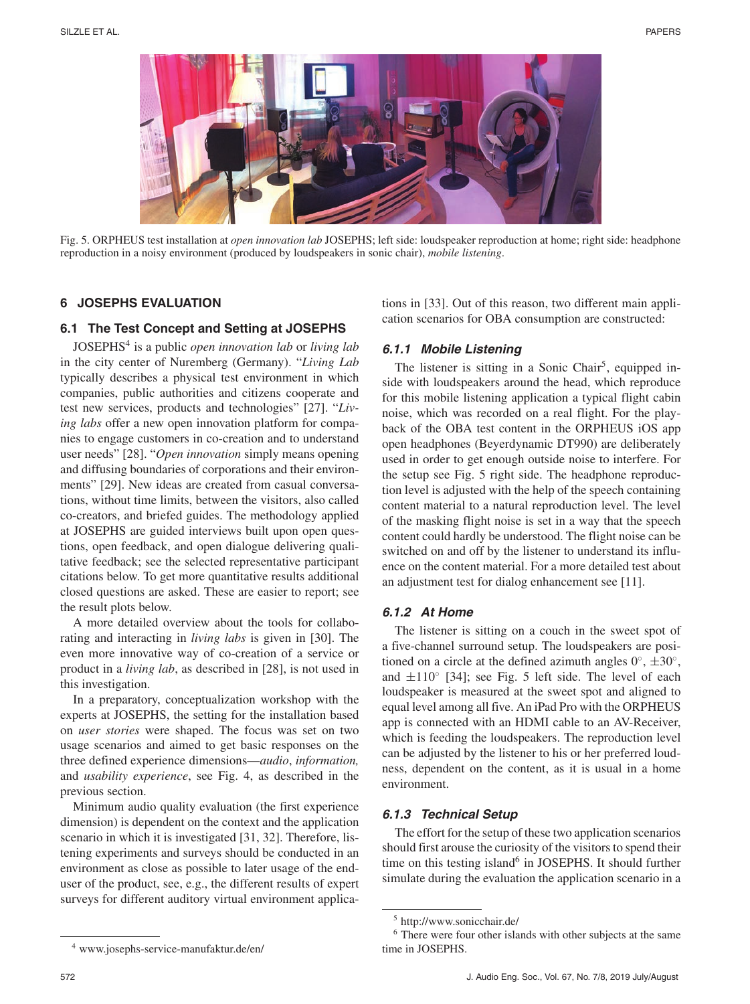

Fig. 5. ORPHEUS test installation at *open innovation lab* JOSEPHS; left side: loudspeaker reproduction at home; right side: headphone reproduction in a noisy environment (produced by loudspeakers in sonic chair), *mobile listening*.

## **6 JOSEPHS EVALUATION**

## **6.1 The Test Concept and Setting at JOSEPHS**

JOSEPHS4 is a public *open innovation lab* or *living lab* in the city center of Nuremberg (Germany). "*Living Lab* typically describes a physical test environment in which companies, public authorities and citizens cooperate and test new services, products and technologies" [27]. "*Living labs* offer a new open innovation platform for companies to engage customers in co-creation and to understand user needs" [28]. "*Open innovation* simply means opening and diffusing boundaries of corporations and their environments" [29]. New ideas are created from casual conversations, without time limits, between the visitors, also called co-creators, and briefed guides. The methodology applied at JOSEPHS are guided interviews built upon open questions, open feedback, and open dialogue delivering qualitative feedback; see the selected representative participant citations below. To get more quantitative results additional closed questions are asked. These are easier to report; see the result plots below.

A more detailed overview about the tools for collaborating and interacting in *living labs* is given in [30]. The even more innovative way of co-creation of a service or product in a *living lab*, as described in [28], is not used in this investigation.

In a preparatory, conceptualization workshop with the experts at JOSEPHS, the setting for the installation based on *user stories* were shaped. The focus was set on two usage scenarios and aimed to get basic responses on the three defined experience dimensions—*audio*, *information,* and *usability experience*, see Fig. 4, as described in the previous section.

Minimum audio quality evaluation (the first experience dimension) is dependent on the context and the application scenario in which it is investigated [31, 32]. Therefore, listening experiments and surveys should be conducted in an environment as close as possible to later usage of the enduser of the product, see, e.g., the different results of expert surveys for different auditory virtual environment applications in [33]. Out of this reason, two different main application scenarios for OBA consumption are constructed:

## **6.1.1 Mobile Listening**

The listener is sitting in a Sonic Chair<sup>5</sup>, equipped inside with loudspeakers around the head, which reproduce for this mobile listening application a typical flight cabin noise, which was recorded on a real flight. For the playback of the OBA test content in the ORPHEUS iOS app open headphones (Beyerdynamic DT990) are deliberately used in order to get enough outside noise to interfere. For the setup see Fig. 5 right side. The headphone reproduction level is adjusted with the help of the speech containing content material to a natural reproduction level. The level of the masking flight noise is set in a way that the speech content could hardly be understood. The flight noise can be switched on and off by the listener to understand its influence on the content material. For a more detailed test about an adjustment test for dialog enhancement see [11].

#### **6.1.2 At Home**

The listener is sitting on a couch in the sweet spot of a five-channel surround setup. The loudspeakers are positioned on a circle at the defined azimuth angles  $0^\circ$ ,  $\pm 30^\circ$ , and  $\pm 110^\circ$  [34]; see Fig. 5 left side. The level of each loudspeaker is measured at the sweet spot and aligned to equal level among all five. An iPad Pro with the ORPHEUS app is connected with an HDMI cable to an AV-Receiver, which is feeding the loudspeakers. The reproduction level can be adjusted by the listener to his or her preferred loudness, dependent on the content, as it is usual in a home environment.

#### **6.1.3 Technical Setup**

The effort for the setup of these two application scenarios should first arouse the curiosity of the visitors to spend their time on this testing island<sup>6</sup> in JOSEPHS. It should further simulate during the evaluation the application scenario in a

<sup>5</sup> http://www.sonicchair.de/

<sup>6</sup> There were four other islands with other subjects at the same time in JOSEPHS.

<sup>4</sup> www.josephs-service-manufaktur.de/en/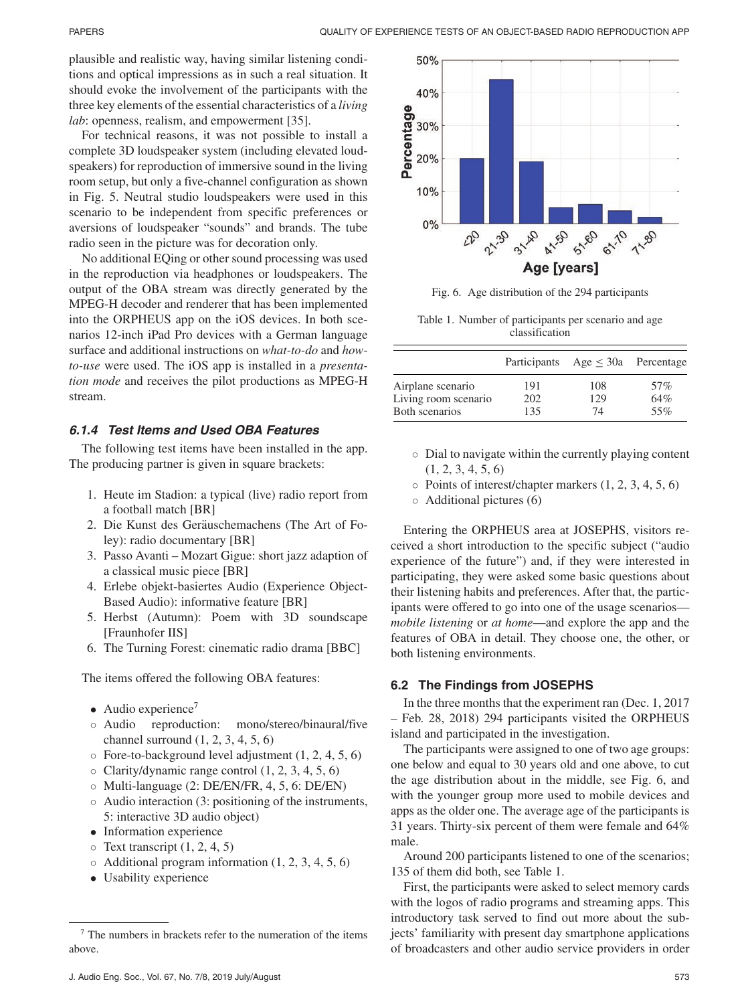plausible and realistic way, having similar listening conditions and optical impressions as in such a real situation. It should evoke the involvement of the participants with the three key elements of the essential characteristics of a *living lab*: openness, realism, and empowerment [35].

For technical reasons, it was not possible to install a complete 3D loudspeaker system (including elevated loudspeakers) for reproduction of immersive sound in the living room setup, but only a five-channel configuration as shown in Fig. 5. Neutral studio loudspeakers were used in this scenario to be independent from specific preferences or aversions of loudspeaker "sounds" and brands. The tube radio seen in the picture was for decoration only.

No additional EQing or other sound processing was used in the reproduction via headphones or loudspeakers. The output of the OBA stream was directly generated by the MPEG-H decoder and renderer that has been implemented into the ORPHEUS app on the iOS devices. In both scenarios 12-inch iPad Pro devices with a German language surface and additional instructions on *what-to-do* and *howto-use* were used. The iOS app is installed in a *presentation mode* and receives the pilot productions as MPEG-H stream.

## **6.1.4 Test Items and Used OBA Features**

The following test items have been installed in the app. The producing partner is given in square brackets:

- 1. Heute im Stadion: a typical (live) radio report from a football match [BR]
- 2. Die Kunst des Geräuschemachens (The Art of Foley): radio documentary [BR]
- 3. Passo Avanti Mozart Gigue: short jazz adaption of a classical music piece [BR]
- 4. Erlebe objekt-basiertes Audio (Experience Object-Based Audio): informative feature [BR]
- 5. Herbst (Autumn): Poem with 3D soundscape [Fraunhofer IIS]
- 6. The Turning Forest: cinematic radio drama [BBC]

The items offered the following OBA features:

- 
- Audio experience<sup>7</sup><br>  $\circ$  Audio reproduction: mono/stereo/binaural/five channel surround (1, 2, 3, 4, 5, 6)
- $\circ$  Fore-to-background level adjustment  $(1, 2, 4, 5, 6)$
- $\circ$  Clarity/dynamic range control  $(1, 2, 3, 4, 5, 6)$
- Multi-language (2: DE/EN/FR, 4, 5, 6: DE/EN)
- Audio interaction (3: positioning of the instruments, 5: interactive 3D audio object)
- Information experience
- $\circ$  Text transcript  $(1, 2, 4, 5)$
- $\circ$  Additional program information  $(1, 2, 3, 4, 5, 6)$
- Usability experience



Fig. 6. Age distribution of the 294 participants

Table 1. Number of participants per scenario and age classification

|                      |     | Participants Age $\leq$ 30a Percentage |     |
|----------------------|-----|----------------------------------------|-----|
| Airplane scenario    | 191 | 108                                    | 57% |
| Living room scenario | 202 | 129                                    | 64% |
| Both scenarios       | 135 | 74                                     | 55% |

- Dial to navigate within the currently playing content  $(1, 2, 3, 4, 5, 6)$
- $\circ$  Points of interest/chapter markers  $(1, 2, 3, 4, 5, 6)$
- Additional pictures (6)

Entering the ORPHEUS area at JOSEPHS, visitors received a short introduction to the specific subject ("audio experience of the future") and, if they were interested in participating, they were asked some basic questions about their listening habits and preferences. After that, the participants were offered to go into one of the usage scenarios *mobile listening* or *at home*—and explore the app and the features of OBA in detail. They choose one, the other, or both listening environments.

## **6.2 The Findings from JOSEPHS**

In the three months that the experiment ran (Dec. 1, 2017 – Feb. 28, 2018) 294 participants visited the ORPHEUS island and participated in the investigation.

The participants were assigned to one of two age groups: one below and equal to 30 years old and one above, to cut the age distribution about in the middle, see Fig. 6, and with the younger group more used to mobile devices and apps as the older one. The average age of the participants is 31 years. Thirty-six percent of them were female and 64% male.

Around 200 participants listened to one of the scenarios; 135 of them did both, see Table 1.

First, the participants were asked to select memory cards with the logos of radio programs and streaming apps. This introductory task served to find out more about the subjects' familiarity with present day smartphone applications of broadcasters and other audio service providers in order

 $7$  The numbers in brackets refer to the numeration of the items above.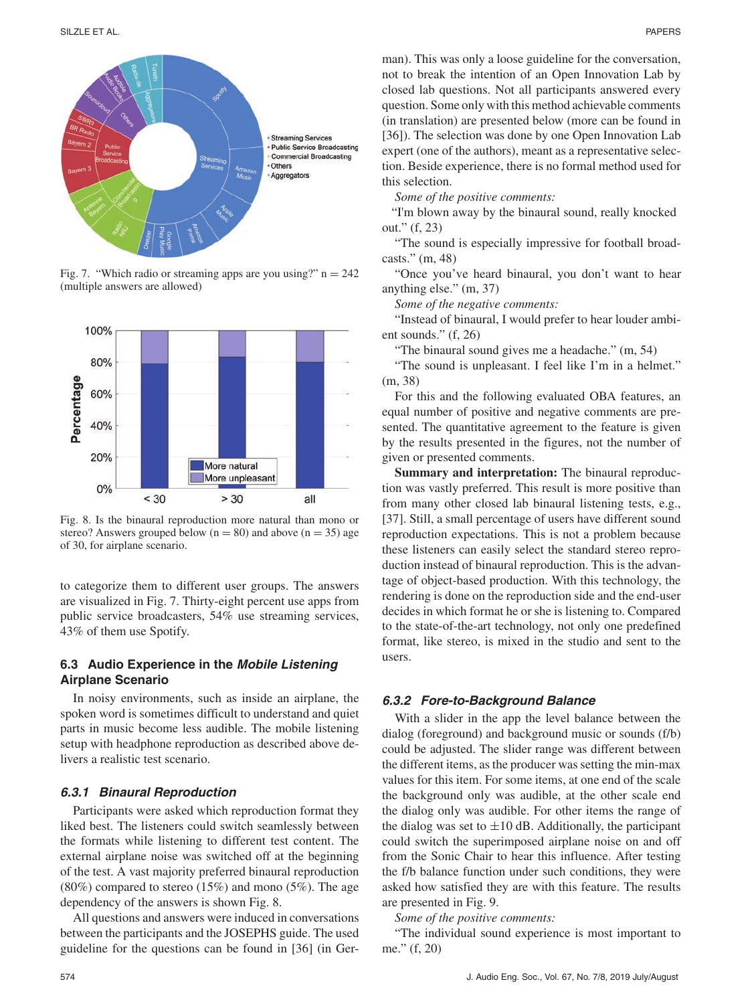

Fig. 7. "Which radio or streaming apps are you using?"  $n = 242$ (multiple answers are allowed)



Fig. 8. Is the binaural reproduction more natural than mono or stereo? Answers grouped below ( $n = 80$ ) and above ( $n = 35$ ) age of 30, for airplane scenario.

to categorize them to different user groups. The answers are visualized in Fig. 7. Thirty-eight percent use apps from public service broadcasters, 54% use streaming services, 43% of them use Spotify.

## **6.3 Audio Experience in the Mobile Listening Airplane Scenario**

In noisy environments, such as inside an airplane, the spoken word is sometimes difficult to understand and quiet parts in music become less audible. The mobile listening setup with headphone reproduction as described above delivers a realistic test scenario.

#### **6.3.1 Binaural Reproduction**

Participants were asked which reproduction format they liked best. The listeners could switch seamlessly between the formats while listening to different test content. The external airplane noise was switched off at the beginning of the test. A vast majority preferred binaural reproduction (80%) compared to stereo (15%) and mono (5%). The age dependency of the answers is shown Fig. 8.

All questions and answers were induced in conversations between the participants and the JOSEPHS guide. The used guideline for the questions can be found in [36] (in German). This was only a loose guideline for the conversation, not to break the intention of an Open Innovation Lab by closed lab questions. Not all participants answered every question. Some only with this method achievable comments (in translation) are presented below (more can be found in [36]). The selection was done by one Open Innovation Lab expert (one of the authors), meant as a representative selection. Beside experience, there is no formal method used for this selection.

*Some of the positive comments:*

"I'm blown away by the binaural sound, really knocked out." (f, 23)

"The sound is especially impressive for football broadcasts." (m, 48)

"Once you've heard binaural, you don't want to hear anything else." (m, 37)

*Some of the negative comments:*

"Instead of binaural, I would prefer to hear louder ambient sounds." (f, 26)

"The binaural sound gives me a headache." (m, 54)

"The sound is unpleasant. I feel like I'm in a helmet." (m, 38)

For this and the following evaluated OBA features, an equal number of positive and negative comments are presented. The quantitative agreement to the feature is given by the results presented in the figures, not the number of given or presented comments.

**Summary and interpretation:** The binaural reproduction was vastly preferred. This result is more positive than from many other closed lab binaural listening tests, e.g., [37]. Still, a small percentage of users have different sound reproduction expectations. This is not a problem because these listeners can easily select the standard stereo reproduction instead of binaural reproduction. This is the advantage of object-based production. With this technology, the rendering is done on the reproduction side and the end-user decides in which format he or she is listening to. Compared to the state-of-the-art technology, not only one predefined format, like stereo, is mixed in the studio and sent to the users.

#### **6.3.2 Fore-to-Background Balance**

With a slider in the app the level balance between the dialog (foreground) and background music or sounds (f/b) could be adjusted. The slider range was different between the different items, as the producer was setting the min-max values for this item. For some items, at one end of the scale the background only was audible, at the other scale end the dialog only was audible. For other items the range of the dialog was set to  $\pm 10$  dB. Additionally, the participant could switch the superimposed airplane noise on and off from the Sonic Chair to hear this influence. After testing the f/b balance function under such conditions, they were asked how satisfied they are with this feature. The results are presented in Fig. 9.

*Some of the positive comments:*

"The individual sound experience is most important to me." (f, 20)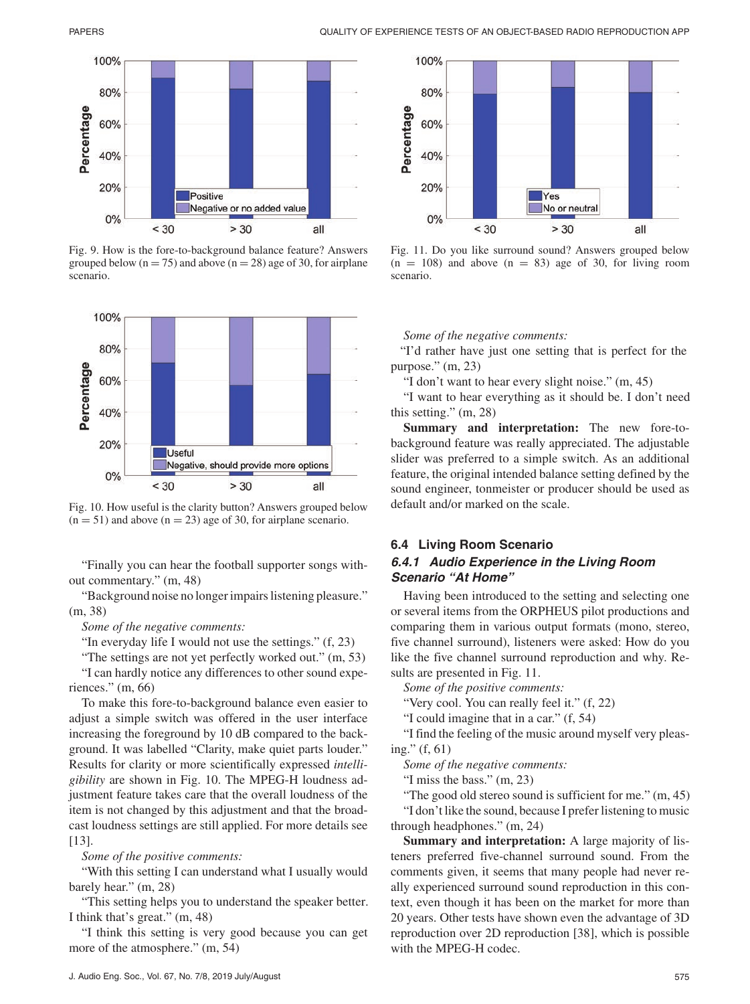

Fig. 9. How is the fore-to-background balance feature? Answers grouped below ( $n = 75$ ) and above ( $n = 28$ ) age of 30, for airplane scenario.



Fig. 10. How useful is the clarity button? Answers grouped below  $(n = 51)$  and above  $(n = 23)$  age of 30, for airplane scenario.

"Finally you can hear the football supporter songs without commentary." (m, 48)

"Background noise no longer impairs listening pleasure." (m, 38)

*Some of the negative comments:*

"In everyday life I would not use the settings." (f, 23)

"The settings are not yet perfectly worked out." (m, 53)

"I can hardly notice any differences to other sound experiences." (m, 66)

To make this fore-to-background balance even easier to adjust a simple switch was offered in the user interface increasing the foreground by 10 dB compared to the background. It was labelled "Clarity, make quiet parts louder." Results for clarity or more scientifically expressed *intelligibility* are shown in Fig. 10. The MPEG-H loudness adjustment feature takes care that the overall loudness of the item is not changed by this adjustment and that the broadcast loudness settings are still applied. For more details see [13].

*Some of the positive comments:*

"With this setting I can understand what I usually would barely hear." (m, 28)

"This setting helps you to understand the speaker better. I think that's great." (m, 48)

"I think this setting is very good because you can get more of the atmosphere." (m, 54)



Fig. 11. Do you like surround sound? Answers grouped below  $(n = 108)$  and above  $(n = 83)$  age of 30, for living room scenario.

*Some of the negative comments:*

"I'd rather have just one setting that is perfect for the purpose." (m, 23)

"I don't want to hear every slight noise." (m, 45)

"I want to hear everything as it should be. I don't need this setting." (m, 28)

**Summary and interpretation:** The new fore-tobackground feature was really appreciated. The adjustable slider was preferred to a simple switch. As an additional feature, the original intended balance setting defined by the sound engineer, tonmeister or producer should be used as default and/or marked on the scale.

# **6.4 Living Room Scenario**

## **6.4.1 Audio Experience in the Living Room Scenario "At Home"**

Having been introduced to the setting and selecting one or several items from the ORPHEUS pilot productions and comparing them in various output formats (mono, stereo, five channel surround), listeners were asked: How do you like the five channel surround reproduction and why. Results are presented in Fig. 11.

*Some of the positive comments:*

"Very cool. You can really feel it." (f, 22)

"I could imagine that in a car." (f, 54)

"I find the feeling of the music around myself very pleasing." (f, 61)

*Some of the negative comments:*

"I miss the bass." (m, 23)

"The good old stereo sound is sufficient for me." (m, 45) "I don't like the sound, because I prefer listening to music through headphones." (m, 24)

**Summary and interpretation:** A large majority of listeners preferred five-channel surround sound. From the comments given, it seems that many people had never really experienced surround sound reproduction in this context, even though it has been on the market for more than 20 years. Other tests have shown even the advantage of 3D reproduction over 2D reproduction [38], which is possible with the MPEG-H codec.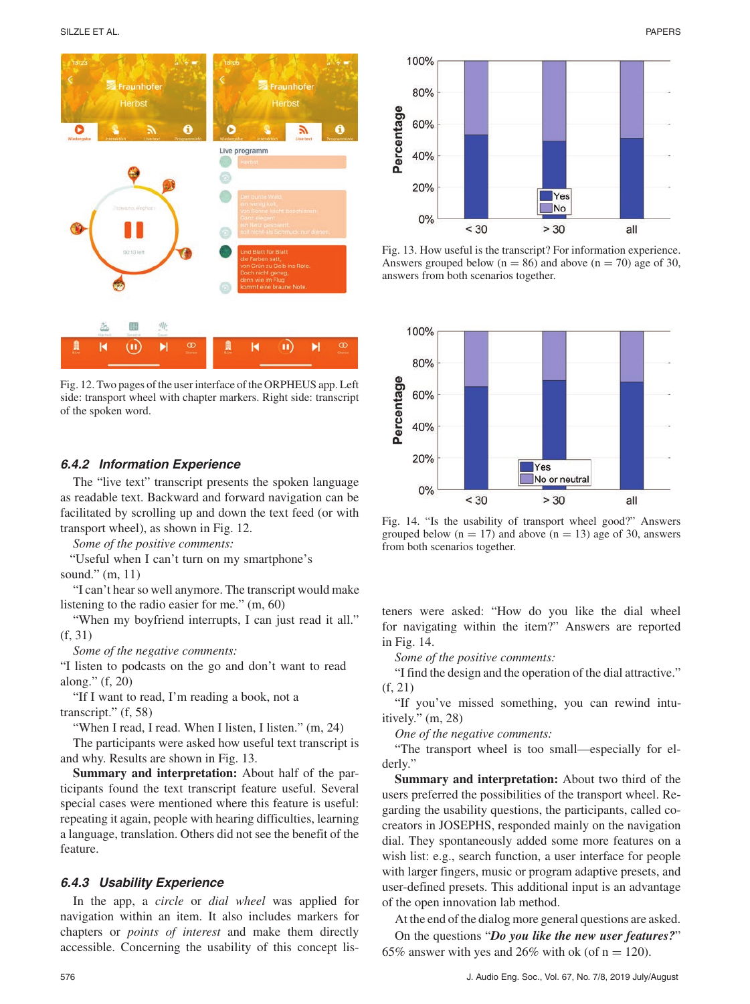

Fig. 12. Two pages of the user interface of the ORPHEUS app. Left side: transport wheel with chapter markers. Right side: transcript of the spoken word.

#### **6.4.2 Information Experience**

The "live text" transcript presents the spoken language as readable text. Backward and forward navigation can be facilitated by scrolling up and down the text feed (or with transport wheel), as shown in Fig. 12.

*Some of the positive comments:*

"Useful when I can't turn on my smartphone's sound." (m, 11)

"I can't hear so well anymore. The transcript would make listening to the radio easier for me." (m, 60)

"When my boyfriend interrupts, I can just read it all." (f, 31)

*Some of the negative comments:*

"I listen to podcasts on the go and don't want to read along." (f, 20)

"If I want to read, I'm reading a book, not a transcript." (f, 58)

"When I read, I read. When I listen, I listen." (m, 24)

The participants were asked how useful text transcript is and why. Results are shown in Fig. 13.

**Summary and interpretation:** About half of the participants found the text transcript feature useful. Several special cases were mentioned where this feature is useful: repeating it again, people with hearing difficulties, learning a language, translation. Others did not see the benefit of the feature.

#### **6.4.3 Usability Experience**

In the app, a *circle* or *dial wheel* was applied for navigation within an item. It also includes markers for chapters or *points of interest* and make them directly accessible. Concerning the usability of this concept lis-



Fig. 13. How useful is the transcript? For information experience. Answers grouped below ( $n = 86$ ) and above ( $n = 70$ ) age of 30, answers from both scenarios together.



Fig. 14. "Is the usability of transport wheel good?" Answers grouped below  $(n = 17)$  and above  $(n = 13)$  age of 30, answers from both scenarios together.

teners were asked: "How do you like the dial wheel for navigating within the item?" Answers are reported in Fig. 14.

*Some of the positive comments:*

"I find the design and the operation of the dial attractive." (f, 21)

"If you've missed something, you can rewind intuitively." (m, 28)

*One of the negative comments:*

"The transport wheel is too small—especially for elderly."

**Summary and interpretation:** About two third of the users preferred the possibilities of the transport wheel. Regarding the usability questions, the participants, called cocreators in JOSEPHS, responded mainly on the navigation dial. They spontaneously added some more features on a wish list: e.g., search function, a user interface for people with larger fingers, music or program adaptive presets, and user-defined presets. This additional input is an advantage of the open innovation lab method.

At the end of the dialog more general questions are asked.

On the questions "*Do you like the new user features?*" 65% answer with yes and 26% with ok (of  $n = 120$ ).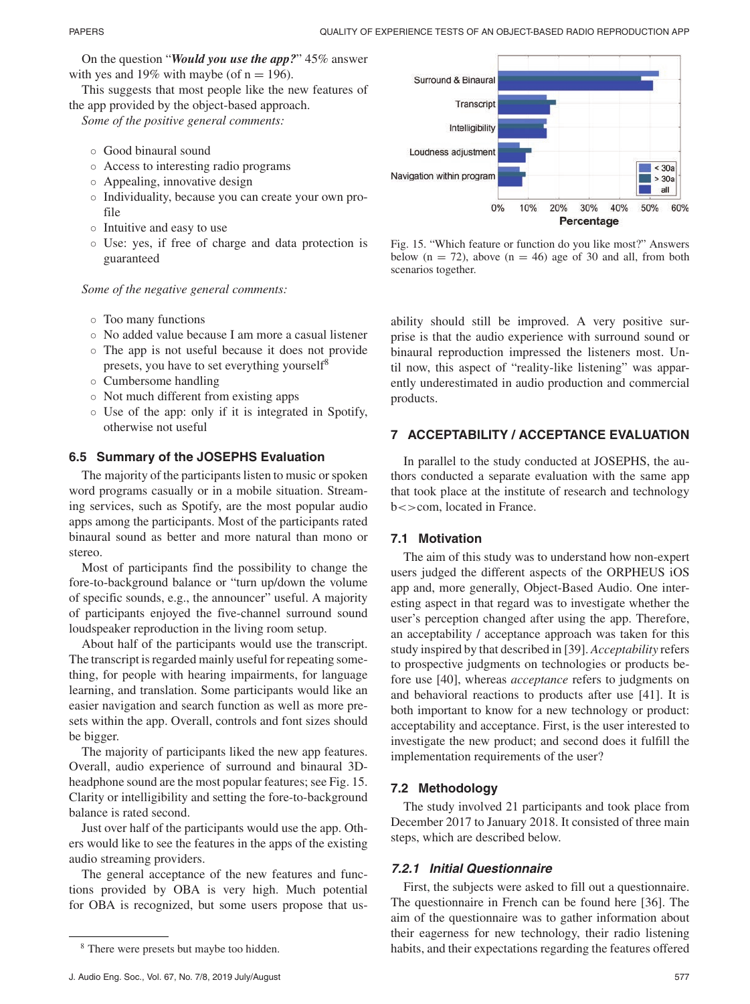On the question "*Would you use the app?*" 45% answer with yes and 19% with maybe (of  $n = 196$ ).

This suggests that most people like the new features of the app provided by the object-based approach.

*Some of the positive general comments:*

- Good binaural sound
- Access to interesting radio programs
- Appealing, innovative design
- Individuality, because you can create your own profile
- Intuitive and easy to use
- Use: yes, if free of charge and data protection is guaranteed

*Some of the negative general comments:*

- Too many functions
- No added value because I am more a casual listener
- The app is not useful because it does not provide presets, you have to set everything yourself<sup>8</sup>
- Cumbersome handling
- Not much different from existing apps
- Use of the app: only if it is integrated in Spotify, otherwise not useful

# **6.5 Summary of the JOSEPHS Evaluation**

The majority of the participants listen to music or spoken word programs casually or in a mobile situation. Streaming services, such as Spotify, are the most popular audio apps among the participants. Most of the participants rated binaural sound as better and more natural than mono or stereo.

Most of participants find the possibility to change the fore-to-background balance or "turn up/down the volume of specific sounds, e.g., the announcer" useful. A majority of participants enjoyed the five-channel surround sound loudspeaker reproduction in the living room setup.

About half of the participants would use the transcript. The transcript is regarded mainly useful for repeating something, for people with hearing impairments, for language learning, and translation. Some participants would like an easier navigation and search function as well as more presets within the app. Overall, controls and font sizes should be bigger.

The majority of participants liked the new app features. Overall, audio experience of surround and binaural 3Dheadphone sound are the most popular features; see Fig. 15. Clarity or intelligibility and setting the fore-to-background balance is rated second.

Just over half of the participants would use the app. Others would like to see the features in the apps of the existing audio streaming providers.

The general acceptance of the new features and functions provided by OBA is very high. Much potential for OBA is recognized, but some users propose that us-



Fig. 15. "Which feature or function do you like most?" Answers below  $(n = 72)$ , above  $(n = 46)$  age of 30 and all, from both scenarios together.

ability should still be improved. A very positive surprise is that the audio experience with surround sound or binaural reproduction impressed the listeners most. Until now, this aspect of "reality-like listening" was apparently underestimated in audio production and commercial products.

# **7 ACCEPTABILITY / ACCEPTANCE EVALUATION**

In parallel to the study conducted at JOSEPHS, the authors conducted a separate evaluation with the same app that took place at the institute of research and technology b<>com, located in France.

# **7.1 Motivation**

The aim of this study was to understand how non-expert users judged the different aspects of the ORPHEUS iOS app and, more generally, Object-Based Audio. One interesting aspect in that regard was to investigate whether the user's perception changed after using the app. Therefore, an acceptability / acceptance approach was taken for this study inspired by that described in [39]. *Acceptability* refers to prospective judgments on technologies or products before use [40], whereas *acceptance* refers to judgments on and behavioral reactions to products after use [41]. It is both important to know for a new technology or product: acceptability and acceptance. First, is the user interested to investigate the new product; and second does it fulfill the implementation requirements of the user?

# **7.2 Methodology**

The study involved 21 participants and took place from December 2017 to January 2018. It consisted of three main steps, which are described below.

# **7.2.1 Initial Questionnaire**

First, the subjects were asked to fill out a questionnaire. The questionnaire in French can be found here [36]. The aim of the questionnaire was to gather information about their eagerness for new technology, their radio listening habits, and their expectations regarding the features offered

<sup>8</sup> There were presets but maybe too hidden.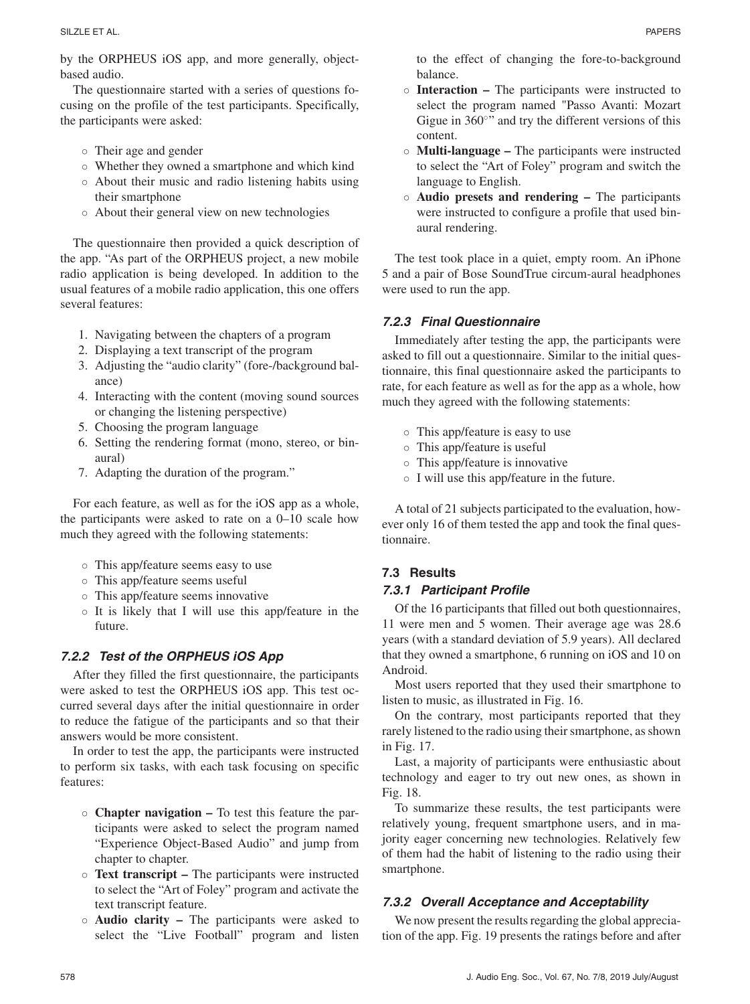by the ORPHEUS iOS app, and more generally, objectbased audio.

The questionnaire started with a series of questions focusing on the profile of the test participants. Specifically, the participants were asked:

- Their age and gender
- Whether they owned a smartphone and which kind
- About their music and radio listening habits using their smartphone
- About their general view on new technologies

The questionnaire then provided a quick description of the app. "As part of the ORPHEUS project, a new mobile radio application is being developed. In addition to the usual features of a mobile radio application, this one offers several features:

- 1. Navigating between the chapters of a program
- 2. Displaying a text transcript of the program
- 3. Adjusting the "audio clarity" (fore-/background balance)
- 4. Interacting with the content (moving sound sources or changing the listening perspective)
- 5. Choosing the program language
- 6. Setting the rendering format (mono, stereo, or binaural)
- 7. Adapting the duration of the program."

For each feature, as well as for the iOS app as a whole, the participants were asked to rate on a 0–10 scale how much they agreed with the following statements:

- This app/feature seems easy to use
- This app/feature seems useful
- This app/feature seems innovative
- It is likely that I will use this app/feature in the future.

# **7.2.2 Test of the ORPHEUS iOS App**

After they filled the first questionnaire, the participants were asked to test the ORPHEUS iOS app. This test occurred several days after the initial questionnaire in order to reduce the fatigue of the participants and so that their answers would be more consistent.

In order to test the app, the participants were instructed to perform six tasks, with each task focusing on specific features:

- **Chapter navigation –** To test this feature the participants were asked to select the program named "Experience Object-Based Audio" and jump from chapter to chapter.
- **Text transcript –** The participants were instructed to select the "Art of Foley" program and activate the text transcript feature.
- **Audio clarity –** The participants were asked to select the "Live Football" program and listen
- **Interaction –** The participants were instructed to select the program named "Passo Avanti: Mozart Gigue in  $360°$ <sup>\*</sup> and try the different versions of this content.
- **Multi-language –** The participants were instructed to select the "Art of Foley" program and switch the language to English.
- **Audio presets and rendering –** The participants were instructed to configure a profile that used binaural rendering.

The test took place in a quiet, empty room. An iPhone 5 and a pair of Bose SoundTrue circum-aural headphones were used to run the app.

# **7.2.3 Final Questionnaire**

Immediately after testing the app, the participants were asked to fill out a questionnaire. Similar to the initial questionnaire, this final questionnaire asked the participants to rate, for each feature as well as for the app as a whole, how much they agreed with the following statements:

- This app/feature is easy to use
- This app/feature is useful
- This app/feature is innovative
- I will use this app/feature in the future.

A total of 21 subjects participated to the evaluation, however only 16 of them tested the app and took the final questionnaire.

# **7.3 Results**

## **7.3.1 Participant Profile**

Of the 16 participants that filled out both questionnaires, 11 were men and 5 women. Their average age was 28.6 years (with a standard deviation of 5.9 years). All declared that they owned a smartphone, 6 running on iOS and 10 on Android.

Most users reported that they used their smartphone to listen to music, as illustrated in Fig. 16.

On the contrary, most participants reported that they rarely listened to the radio using their smartphone, as shown in Fig. 17.

Last, a majority of participants were enthusiastic about technology and eager to try out new ones, as shown in Fig. 18.

To summarize these results, the test participants were relatively young, frequent smartphone users, and in majority eager concerning new technologies. Relatively few of them had the habit of listening to the radio using their smartphone.

# **7.3.2 Overall Acceptance and Acceptability**

We now present the results regarding the global appreciation of the app. Fig. 19 presents the ratings before and after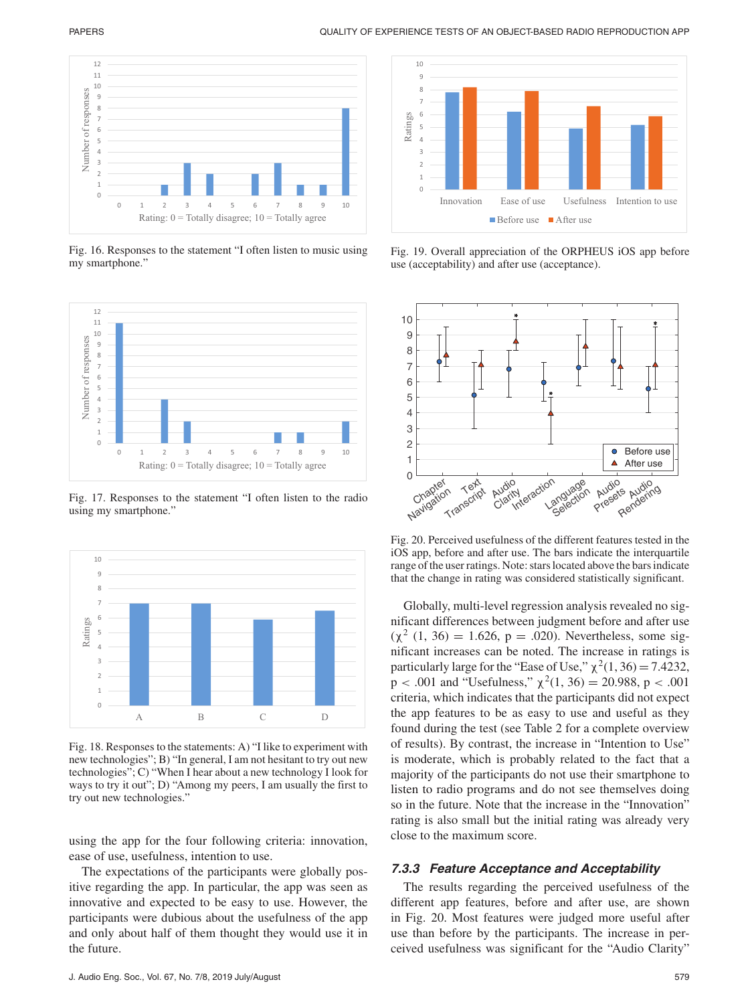

Fig. 16. Responses to the statement "I often listen to music using my smartphone."



Fig. 17. Responses to the statement "I often listen to the radio using my smartphone."



Fig. 18. Responses to the statements: A) "I like to experiment with new technologies"; B) "In general, I am not hesitant to try out new technologies"; C) "When I hear about a new technology I look for ways to try it out"; D) "Among my peers, I am usually the first to try out new technologies."

using the app for the four following criteria: innovation, ease of use, usefulness, intention to use.

The expectations of the participants were globally positive regarding the app. In particular, the app was seen as innovative and expected to be easy to use. However, the participants were dubious about the usefulness of the app and only about half of them thought they would use it in the future.



Fig. 19. Overall appreciation of the ORPHEUS iOS app before use (acceptability) and after use (acceptance).



Fig. 20. Perceived usefulness of the different features tested in the iOS app, before and after use. The bars indicate the interquartile range of the user ratings. Note: stars located above the bars indicate that the change in rating was considered statistically significant.

Globally, multi-level regression analysis revealed no significant differences between judgment before and after use  $(χ<sup>2</sup> (1, 36) = 1.626, p = .020)$ . Nevertheless, some significant increases can be noted. The increase in ratings is particularly large for the "Ease of Use,"  $\chi^2(1, 36) = 7.4232$ ,  $p < .001$  and "Usefulness,"  $\chi^2(1, 36) = 20.988$ ,  $p < .001$ criteria, which indicates that the participants did not expect the app features to be as easy to use and useful as they found during the test (see Table 2 for a complete overview of results). By contrast, the increase in "Intention to Use" is moderate, which is probably related to the fact that a majority of the participants do not use their smartphone to listen to radio programs and do not see themselves doing so in the future. Note that the increase in the "Innovation" rating is also small but the initial rating was already very close to the maximum score.

#### **7.3.3 Feature Acceptance and Acceptability**

The results regarding the perceived usefulness of the different app features, before and after use, are shown in Fig. 20. Most features were judged more useful after use than before by the participants. The increase in perceived usefulness was significant for the "Audio Clarity"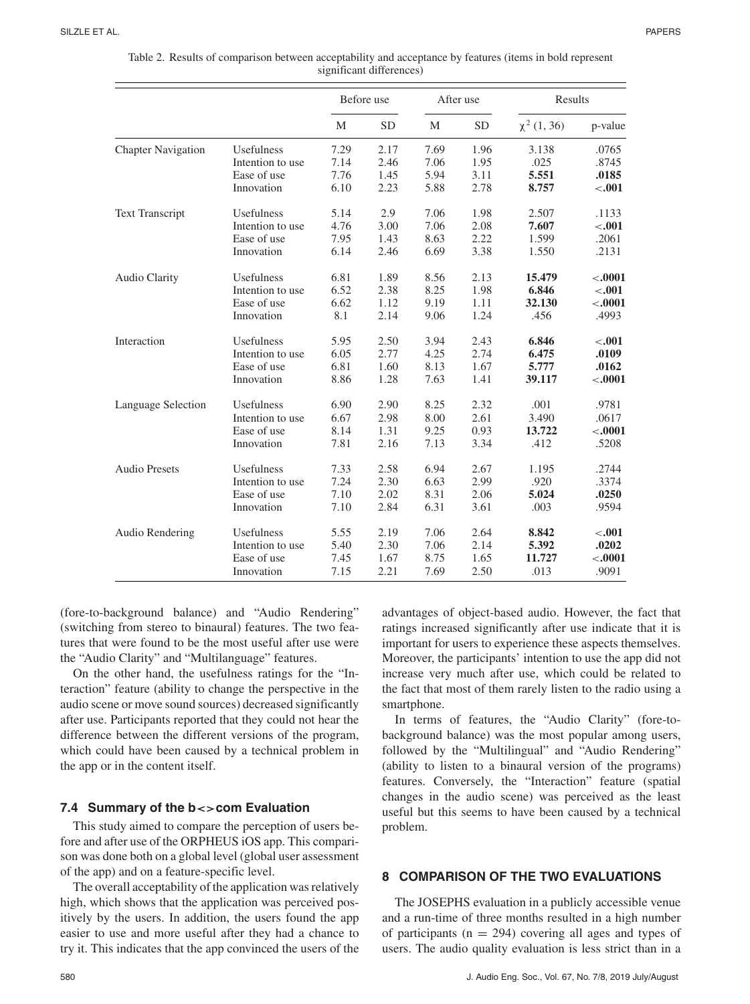|                           |                  | Before use |           | After use |           | Results          |           |
|---------------------------|------------------|------------|-----------|-----------|-----------|------------------|-----------|
|                           |                  | M          | <b>SD</b> | М         | <b>SD</b> | $\chi^2$ (1, 36) | p-value   |
| <b>Chapter Navigation</b> | Usefulness       | 7.29       | 2.17      | 7.69      | 1.96      | 3.138            | .0765     |
|                           | Intention to use | 7.14       | 2.46      | 7.06      | 1.95      | .025             | .8745     |
|                           | Ease of use      | 7.76       | 1.45      | 5.94      | 3.11      | 5.551            | .0185     |
|                           | Innovation       | 6.10       | 2.23      | 5.88      | 2.78      | 8.757            | $-.001$   |
| <b>Text Transcript</b>    | Usefulness       | 5.14       | 2.9       | 7.06      | 1.98      | 2.507            | .1133     |
|                           | Intention to use | 4.76       | 3.00      | 7.06      | 2.08      | 7.607            | $-.001$   |
|                           | Ease of use      | 7.95       | 1.43      | 8.63      | 2.22      | 1.599            | .2061     |
|                           | Innovation       | 6.14       | 2.46      | 6.69      | 3.38      | 1.550            | .2131     |
| Audio Clarity             | Usefulness       | 6.81       | 1.89      | 8.56      | 2.13      | 15.479           | $< .0001$ |
|                           | Intention to use | 6.52       | 2.38      | 8.25      | 1.98      | 6.846            | < .001    |
|                           | Ease of use      | 6.62       | 1.12      | 9.19      | 1.11      | 32.130           | $-.0001$  |
|                           | Innovation       | 8.1        | 2.14      | 9.06      | 1.24      | .456             | .4993     |
| Interaction               | Usefulness       | 5.95       | 2.50      | 3.94      | 2.43      | 6.846            | $-.001$   |
|                           | Intention to use | 6.05       | 2.77      | 4.25      | 2.74      | 6.475            | .0109     |
|                           | Ease of use      | 6.81       | 1.60      | 8.13      | 1.67      | 5.777            | .0162     |
|                           | Innovation       | 8.86       | 1.28      | 7.63      | 1.41      | 39.117           | $-.0001$  |
| Language Selection        | Usefulness       | 6.90       | 2.90      | 8.25      | 2.32      | .001             | .9781     |
|                           | Intention to use | 6.67       | 2.98      | 8.00      | 2.61      | 3.490            | .0617     |
|                           | Ease of use      | 8.14       | 1.31      | 9.25      | 0.93      | 13.722           | $-.0001$  |
|                           | Innovation       | 7.81       | 2.16      | 7.13      | 3.34      | .412             | .5208     |
| <b>Audio Presets</b>      | Usefulness       | 7.33       | 2.58      | 6.94      | 2.67      | 1.195            | .2744     |
|                           | Intention to use | 7.24       | 2.30      | 6.63      | 2.99      | .920             | .3374     |
|                           | Ease of use      | 7.10       | 2.02      | 8.31      | 2.06      | 5.024            | .0250     |
|                           | Innovation       | 7.10       | 2.84      | 6.31      | 3.61      | .003             | .9594     |
| Audio Rendering           | Usefulness       | 5.55       | 2.19      | 7.06      | 2.64      | 8.842            | $-.001$   |
|                           | Intention to use | 5.40       | 2.30      | 7.06      | 2.14      | 5.392            | .0202     |
|                           | Ease of use      | 7.45       | 1.67      | 8.75      | 1.65      | 11.727           | $-.0001$  |
|                           | Innovation       | 7.15       | 2.21      | 7.69      | 2.50      | .013             | .9091     |

Table 2. Results of comparison between acceptability and acceptance by features (items in bold represent significant differences)

(fore-to-background balance) and "Audio Rendering" (switching from stereo to binaural) features. The two features that were found to be the most useful after use were the "Audio Clarity" and "Multilanguage" features.

On the other hand, the usefulness ratings for the "Interaction" feature (ability to change the perspective in the audio scene or move sound sources) decreased significantly after use. Participants reported that they could not hear the difference between the different versions of the program, which could have been caused by a technical problem in the app or in the content itself.

#### **7.4 Summary of the b***<>***com Evaluation**

This study aimed to compare the perception of users before and after use of the ORPHEUS iOS app. This comparison was done both on a global level (global user assessment of the app) and on a feature-specific level.

The overall acceptability of the application was relatively high, which shows that the application was perceived positively by the users. In addition, the users found the app easier to use and more useful after they had a chance to try it. This indicates that the app convinced the users of the advantages of object-based audio. However, the fact that ratings increased significantly after use indicate that it is important for users to experience these aspects themselves. Moreover, the participants' intention to use the app did not increase very much after use, which could be related to the fact that most of them rarely listen to the radio using a smartphone.

In terms of features, the "Audio Clarity" (fore-tobackground balance) was the most popular among users, followed by the "Multilingual" and "Audio Rendering" (ability to listen to a binaural version of the programs) features. Conversely, the "Interaction" feature (spatial changes in the audio scene) was perceived as the least useful but this seems to have been caused by a technical problem.

## **8 COMPARISON OF THE TWO EVALUATIONS**

The JOSEPHS evaluation in a publicly accessible venue and a run-time of three months resulted in a high number of participants ( $n = 294$ ) covering all ages and types of users. The audio quality evaluation is less strict than in a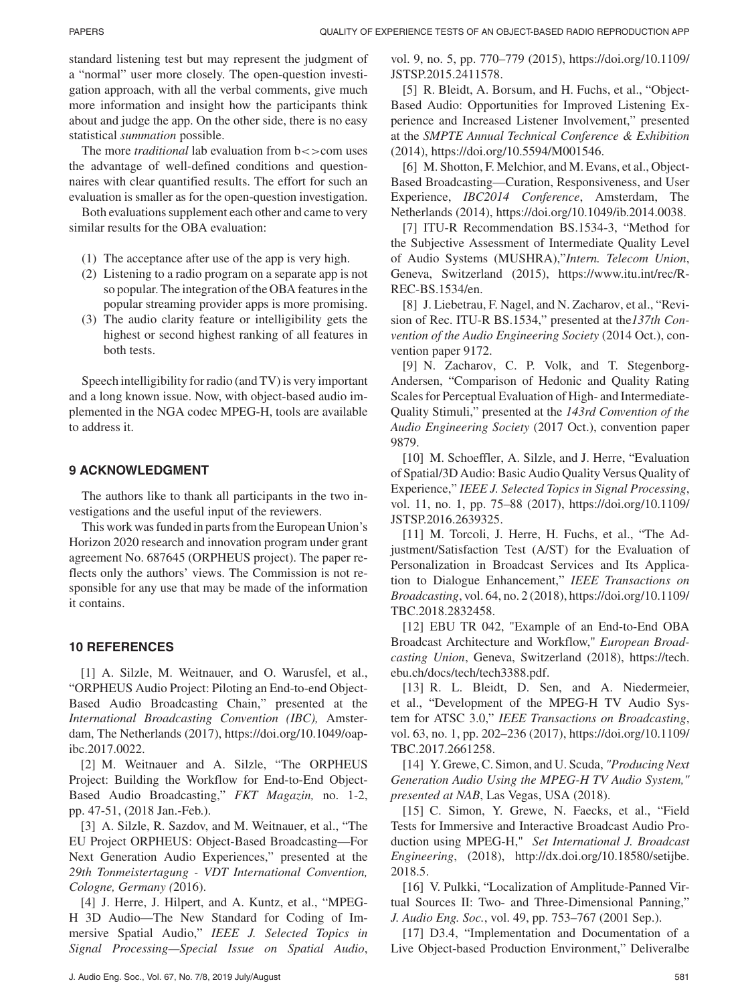standard listening test but may represent the judgment of a "normal" user more closely. The open-question investigation approach, with all the verbal comments, give much more information and insight how the participants think about and judge the app. On the other side, there is no easy statistical *summation* possible.

The more *traditional* lab evaluation from  $b \ll 1$  com uses the advantage of well-defined conditions and questionnaires with clear quantified results. The effort for such an evaluation is smaller as for the open-question investigation.

Both evaluations supplement each other and came to very similar results for the OBA evaluation:

- (1) The acceptance after use of the app is very high.
- (2) Listening to a radio program on a separate app is not so popular. The integration of the OBA features in the popular streaming provider apps is more promising.
- (3) The audio clarity feature or intelligibility gets the highest or second highest ranking of all features in both tests.

Speech intelligibility for radio (and TV) is very important and a long known issue. Now, with object-based audio implemented in the NGA codec MPEG-H, tools are available to address it.

## **9 ACKNOWLEDGMENT**

The authors like to thank all participants in the two investigations and the useful input of the reviewers.

This work was funded in parts from the European Union's Horizon 2020 research and innovation program under grant agreement No. 687645 (ORPHEUS project). The paper reflects only the authors' views. The Commission is not responsible for any use that may be made of the information it contains.

#### **10 REFERENCES**

[1] A. Silzle, M. Weitnauer, and O. Warusfel, et al., "ORPHEUS Audio Project: Piloting an End-to-end Object-Based Audio Broadcasting Chain," presented at the *International Broadcasting Convention (IBC),* Amsterdam, The Netherlands (2017), https://doi.org/10.1049/oapibc.2017.0022.

[2] M. Weitnauer and A. Silzle, "The ORPHEUS Project: Building the Workflow for End-to-End Object-Based Audio Broadcasting," *FKT Magazin,* no. 1-2, pp. 47-51, (2018 Jan.-Feb.).

[3] A. Silzle, R. Sazdov, and M. Weitnauer, et al., "The EU Project ORPHEUS: Object-Based Broadcasting—For Next Generation Audio Experiences," presented at the *29th Tonmeistertagung - VDT International Convention, Cologne, Germany (*2016).

[4] J. Herre, J. Hilpert, and A. Kuntz, et al., "MPEG-H 3D Audio—The New Standard for Coding of Immersive Spatial Audio," *IEEE J. Selected Topics in Signal Processing—Special Issue on Spatial Audio*,

vol. 9, no. 5, pp. 770–779 (2015), https://doi.org/10.1109/ JSTSP.2015.2411578.

[5] R. Bleidt, A. Borsum, and H. Fuchs, et al., "Object-Based Audio: Opportunities for Improved Listening Experience and Increased Listener Involvement," presented at the *SMPTE Annual Technical Conference & Exhibition* (2014), https://doi.org/10.5594/M001546.

[6] M. Shotton, F. Melchior, and M. Evans, et al., Object-Based Broadcasting—Curation, Responsiveness, and User Experience, *IBC2014 Conference*, Amsterdam, The Netherlands (2014), https://doi.org/10.1049/ib.2014.0038.

[7] ITU-R Recommendation BS.1534-3, "Method for the Subjective Assessment of Intermediate Quality Level of Audio Systems (MUSHRA),"*Intern. Telecom Union*, Geneva, Switzerland (2015), https://www.itu.int/rec/R-REC-BS.1534/en.

[8] J. Liebetrau, F. Nagel, and N. Zacharov, et al., "Revision of Rec. ITU-R BS.1534," presented at the*137th Convention of the Audio Engineering Society* (2014 Oct.), convention paper 9172.

[9] N. Zacharov, C. P. Volk, and T. Stegenborg-Andersen, "Comparison of Hedonic and Quality Rating Scales for Perceptual Evaluation of High- and Intermediate-Quality Stimuli," presented at the *143rd Convention of the Audio Engineering Society* (2017 Oct.), convention paper 9879.

[10] M. Schoeffler, A. Silzle, and J. Herre, "Evaluation" of Spatial/3D Audio: Basic Audio Quality Versus Quality of Experience," *IEEE J. Selected Topics in Signal Processing*, vol. 11, no. 1, pp. 75–88 (2017), https://doi.org/10.1109/ JSTSP.2016.2639325.

[11] M. Torcoli, J. Herre, H. Fuchs, et al., "The Adjustment/Satisfaction Test (A/ST) for the Evaluation of Personalization in Broadcast Services and Its Application to Dialogue Enhancement," *IEEE Transactions on Broadcasting*, vol. 64, no. 2 (2018), https://doi.org/10.1109/ TBC.2018.2832458.

[12] EBU TR 042, "Example of an End-to-End OBA Broadcast Architecture and Workflow," *European Broadcasting Union*, Geneva, Switzerland (2018), https://tech. ebu.ch/docs/tech/tech3388.pdf.

[13] R. L. Bleidt, D. Sen, and A. Niedermeier, et al., "Development of the MPEG-H TV Audio System for ATSC 3.0," *IEEE Transactions on Broadcasting*, vol. 63, no. 1, pp. 202–236 (2017), https://doi.org/10.1109/ TBC.2017.2661258.

[14] Y. Grewe, C. Simon, and U. Scuda, *"Producing Next Generation Audio Using the MPEG-H TV Audio System," presented at NAB*, Las Vegas, USA (2018).

[15] C. Simon, Y. Grewe, N. Faecks, et al., "Field Tests for Immersive and Interactive Broadcast Audio Production using MPEG-H," *Set International J. Broadcast Engineering*, (2018), http://dx.doi.org/10.18580/setijbe. 2018.5.

[16] V. Pulkki, "Localization of Amplitude-Panned Virtual Sources II: Two- and Three-Dimensional Panning," *J. Audio Eng. Soc.*, vol. 49, pp. 753–767 (2001 Sep.).

[17] D3.4, "Implementation and Documentation of a Live Object-based Production Environment," Deliveralbe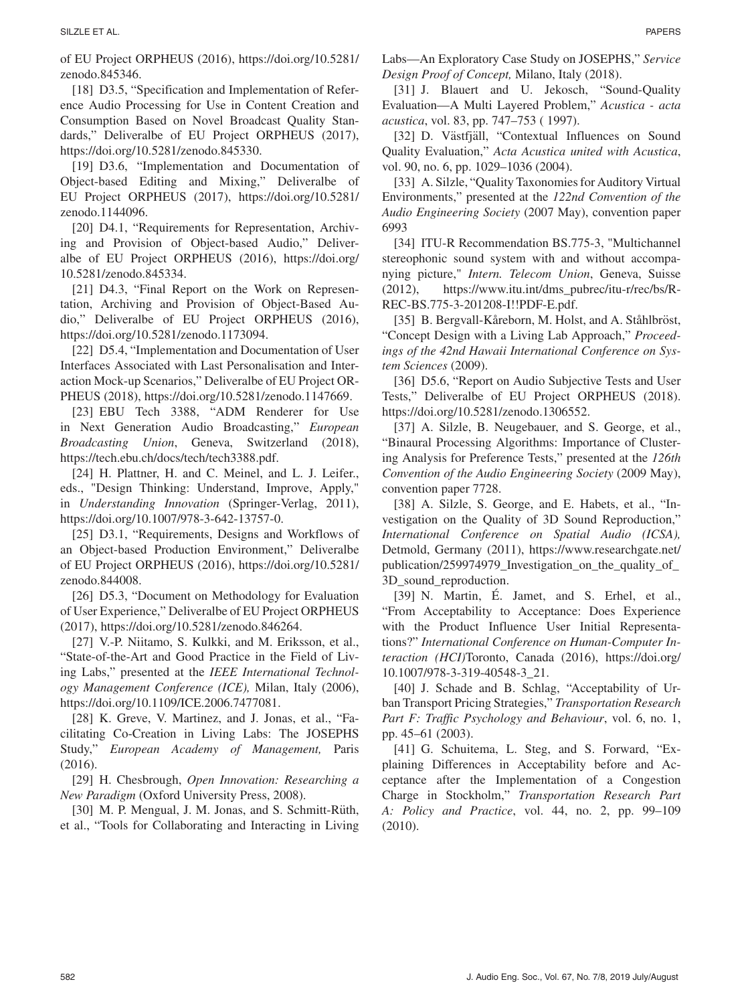[18] D3.5, "Specification and Implementation of Reference Audio Processing for Use in Content Creation and Consumption Based on Novel Broadcast Quality Standards," Deliveralbe of EU Project ORPHEUS (2017), https://doi.org/10.5281/zenodo.845330.

[19] D3.6, "Implementation and Documentation of Object-based Editing and Mixing," Deliveralbe of EU Project ORPHEUS (2017), https://doi.org/10.5281/ zenodo.1144096.

[20] D4.1, "Requirements for Representation, Archiving and Provision of Object-based Audio," Deliveralbe of EU Project ORPHEUS (2016), https://doi.org/ 10.5281/zenodo.845334.

[21] D4.3, "Final Report on the Work on Representation, Archiving and Provision of Object-Based Audio," Deliveralbe of EU Project ORPHEUS (2016), https://doi.org/10.5281/zenodo.1173094.

[22] D5.4, "Implementation and Documentation of User Interfaces Associated with Last Personalisation and Interaction Mock-up Scenarios," Deliveralbe of EU Project OR-PHEUS (2018), https://doi.org/10.5281/zenodo.1147669.

[23] EBU Tech 3388, "ADM Renderer for Use in Next Generation Audio Broadcasting," *European Broadcasting Union*, Geneva, Switzerland (2018), https://tech.ebu.ch/docs/tech/tech3388.pdf.

[24] H. Plattner, H. and C. Meinel, and L. J. Leifer., eds., "Design Thinking: Understand, Improve, Apply," in *Understanding Innovation* (Springer-Verlag, 2011), https://doi.org/10.1007/978-3-642-13757-0.

[25] D3.1, "Requirements, Designs and Workflows of an Object-based Production Environment," Deliveralbe of EU Project ORPHEUS (2016), https://doi.org/10.5281/ zenodo.844008.

[26] D5.3, "Document on Methodology for Evaluation of User Experience," Deliveralbe of EU Project ORPHEUS (2017), https://doi.org/10.5281/zenodo.846264.

[27] V.-P. Niitamo, S. Kulkki, and M. Eriksson, et al., "State-of-the-Art and Good Practice in the Field of Living Labs," presented at the *IEEE International Technology Management Conference (ICE),* Milan, Italy (2006), https://doi.org/10.1109/ICE.2006.7477081.

[28] K. Greve, V. Martinez, and J. Jonas, et al., "Facilitating Co-Creation in Living Labs: The JOSEPHS Study," *European Academy of Management,* Paris (2016).

[29] H. Chesbrough, *Open Innovation: Researching a New Paradigm* (Oxford University Press, 2008).

[30] M. P. Mengual, J. M. Jonas, and S. Schmitt-Rüth, et al., "Tools for Collaborating and Interacting in Living

Labs—An Exploratory Case Study on JOSEPHS," *Service Design Proof of Concept,* Milano, Italy (2018).

[31] J. Blauert and U. Jekosch, "Sound-Quality Evaluation—A Multi Layered Problem," *Acustica - acta acustica*, vol. 83, pp. 747–753 ( 1997).

[32] D. Västfjäll, "Contextual Influences on Sound Quality Evaluation," *Acta Acustica united with Acustica*, vol. 90, no. 6, pp. 1029–1036 (2004).

[33] A. Silzle, "Quality Taxonomies for Auditory Virtual Environments," presented at the *122nd Convention of the Audio Engineering Society* (2007 May), convention paper 6993

[34] ITU-R Recommendation BS.775-3, "Multichannel stereophonic sound system with and without accompanying picture," *Intern. Telecom Union*, Geneva, Suisse (2012), https://www.itu.int/dms\_pubrec/itu-r/rec/bs/R-REC-BS.775-3-201208-I!!PDF-E.pdf.

[35] B. Bergvall-Kåreborn, M. Holst, and A. Ståhlbröst, "Concept Design with a Living Lab Approach," *Proceedings of the 42nd Hawaii International Conference on System Sciences* (2009).

[36] D5.6, "Report on Audio Subjective Tests and User Tests," Deliveralbe of EU Project ORPHEUS (2018). https://doi.org/10.5281/zenodo.1306552.

[37] A. Silzle, B. Neugebauer, and S. George, et al., "Binaural Processing Algorithms: Importance of Clustering Analysis for Preference Tests," presented at the *126th Convention of the Audio Engineering Society* (2009 May), convention paper 7728.

[38] A. Silzle, S. George, and E. Habets, et al., "Investigation on the Quality of 3D Sound Reproduction," *International Conference on Spatial Audio (ICSA),* Detmold, Germany (2011), https://www.researchgate.net/ publication/259974979\_Investigation\_on\_the\_quality\_of\_ 3D\_sound\_reproduction.

[39] N. Martin, E. Jamet, and S. Erhel, et al., "From Acceptability to Acceptance: Does Experience with the Product Influence User Initial Representations?" *International Conference on Human-Computer Interaction (HCI)*Toronto, Canada (2016), https://doi.org/ 10.1007/978-3-319-40548-3\_21.

[40] J. Schade and B. Schlag, "Acceptability of Urban Transport Pricing Strategies," *Transportation Research Part F: Traffic Psychology and Behaviour*, vol. 6, no. 1, pp. 45–61 (2003).

[41] G. Schuitema, L. Steg, and S. Forward, "Explaining Differences in Acceptability before and Acceptance after the Implementation of a Congestion Charge in Stockholm," *Transportation Research Part A: Policy and Practice*, vol. 44, no. 2, pp. 99–109 (2010).